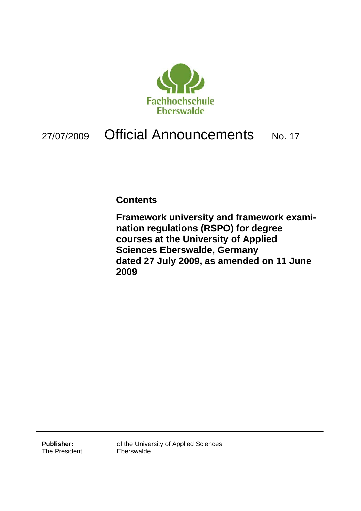

# 27/07/2009 Official Announcements No. 17

## **Contents**

**Framework university and framework examination regulations (RSPO) for degree courses at the University of Applied Sciences Eberswalde, Germany dated 27 July 2009, as amended on 11 June 2009** 

**Publisher:**  The President of the University of Applied Sciences Eberswalde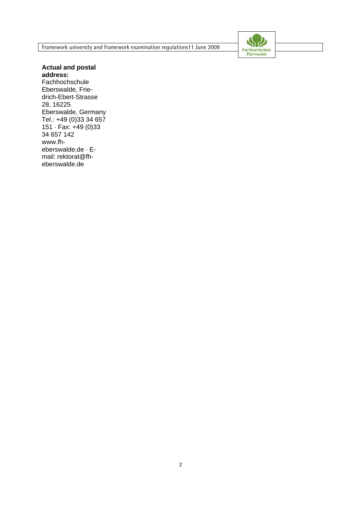Framework university and framework examination regulations11 June 2009



**Actual and postal address: Fachhochschule** Eberswalde, Friedrich-Ebert-Strasse 28, 16225 Eberswalde, Germany Tel.: +49 (0)33 34 657 151 · Fax: +49 (0)33 34 657 142 www.fh-

eberswalde.de · Email: rektorat@fheberswalde.de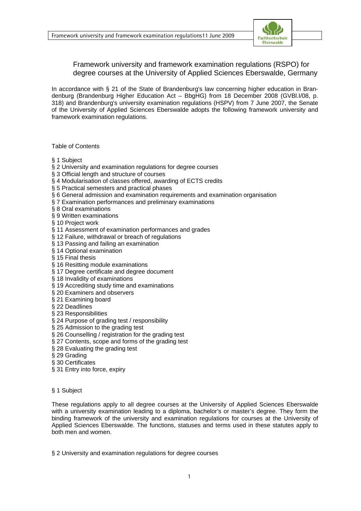

### Framework university and framework examination regulations (RSPO) for degree courses at the University of Applied Sciences Eberswalde, Germany

In accordance with § 21 of the State of Brandenburg's law concerning higher education in Brandenburg (Brandenburg Higher Education Act – BbgHG) from 18 December 2008 (GVBl.I/08, p. 318) and Brandenburg's university examination regulations (HSPV) from 7 June 2007, the Senate of the University of Applied Sciences Eberswalde adopts the following framework university and framework examination regulations.

#### Table of Contents

- § 1 Subject
- § 2 University and examination regulations for degree courses
- § 3 Official length and structure of courses
- § 4 Modularisation of classes offered, awarding of ECTS credits
- § 5 Practical semesters and practical phases
- § 6 General admission and examination requirements and examination organisation
- § 7 Examination performances and preliminary examinations
- § 8 Oral examinations
- § 9 Written examinations
- § 10 Project work
- § 11 Assessment of examination performances and grades
- § 12 Failure, withdrawal or breach of regulations
- § 13 Passing and failing an examination
- § 14 Optional examination
- § 15 Final thesis
- § 16 Resitting module examinations
- § 17 Degree certificate and degree document
- § 18 Invalidity of examinations
- § 19 Accrediting study time and examinations
- § 20 Examiners and observers
- § 21 Examining board
- § 22 Deadlines
- § 23 Responsibilities
- § 24 Purpose of grading test / responsibility
- § 25 Admission to the grading test
- § 26 Counselling / registration for the grading test
- § 27 Contents, scope and forms of the grading test
- § 28 Evaluating the grading test
- § 29 Grading
- § 30 Certificates
- § 31 Entry into force, expiry
- § 1 Subject

These regulations apply to all degree courses at the University of Applied Sciences Eberswalde with a university examination leading to a diploma, bachelor's or master's degree. They form the binding framework of the university and examination regulations for courses at the University of Applied Sciences Eberswalde. The functions, statuses and terms used in these statutes apply to both men and women.

§ 2 University and examination regulations for degree courses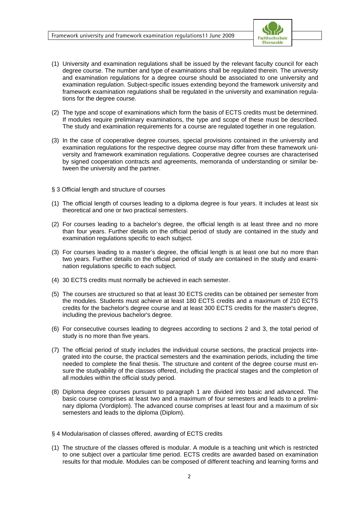

- (1) University and examination regulations shall be issued by the relevant faculty council for each degree course. The number and type of examinations shall be regulated therein. The university and examination regulations for a degree course should be associated to one university and examination regulation. Subject-specific issues extending beyond the framework university and framework examination regulations shall be regulated in the university and examination regulations for the degree course.
- (2) The type and scope of examinations which form the basis of ECTS credits must be determined. If modules require preliminary examinations, the type and scope of these must be described. The study and examination requirements for a course are regulated together in one regulation.
- (3) In the case of cooperative degree courses, special provisions contained in the university and examination regulations for the respective degree course may differ from these framework university and framework examination regulations. Cooperative degree courses are characterised by signed cooperation contracts and agreements, memoranda of understanding or similar between the university and the partner.
- § 3 Official length and structure of courses
- (1) The official length of courses leading to a diploma degree is four years. It includes at least six theoretical and one or two practical semesters.
- (2) For courses leading to a bachelor's degree, the official length is at least three and no more than four years. Further details on the official period of study are contained in the study and examination regulations specific to each subject.
- (3) For courses leading to a master's degree, the official length is at least one but no more than two years. Further details on the official period of study are contained in the study and examination regulations specific to each subject.
- (4) 30 ECTS credits must normally be achieved in each semester.
- (5) The courses are structured so that at least 30 ECTS credits can be obtained per semester from the modules. Students must achieve at least 180 ECTS credits and a maximum of 210 ECTS credits for the bachelor's degree course and at least 300 ECTS credits for the master's degree, including the previous bachelor's degree.
- (6) For consecutive courses leading to degrees according to sections 2 and 3, the total period of study is no more than five years.
- (7) The official period of study includes the individual course sections, the practical projects integrated into the course, the practical semesters and the examination periods, including the time needed to complete the final thesis. The structure and content of the degree course must ensure the studyability of the classes offered, including the practical stages and the completion of all modules within the official study period.
- (8) Diploma degree courses pursuant to paragraph 1 are divided into basic and advanced. The basic course comprises at least two and a maximum of four semesters and leads to a preliminary diploma (Vordiplom). The advanced course comprises at least four and a maximum of six semesters and leads to the diploma (Diplom).
- § 4 Modularisation of classes offered, awarding of ECTS credits
- (1) The structure of the classes offered is modular. A module is a teaching unit which is restricted to one subject over a particular time period. ECTS credits are awarded based on examination results for that module. Modules can be composed of different teaching and learning forms and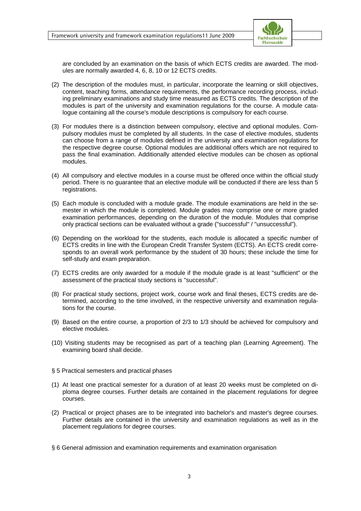

are concluded by an examination on the basis of which ECTS credits are awarded. The modules are normally awarded 4, 6, 8, 10 or 12 ECTS credits.

- (2) The description of the modules must, in particular, incorporate the learning or skill objectives, content, teaching forms, attendance requirements, the performance recording process, including preliminary examinations and study time measured as ECTS credits. The description of the modules is part of the university and examination regulations for the course. A module catalogue containing all the course's module descriptions is compulsory for each course.
- (3) For modules there is a distinction between compulsory, elective and optional modules. Compulsory modules must be completed by all students. In the case of elective modules, students can choose from a range of modules defined in the university and examination regulations for the respective degree course. Optional modules are additional offers which are not required to pass the final examination. Additionally attended elective modules can be chosen as optional modules.
- (4) All compulsory and elective modules in a course must be offered once within the official study period. There is no guarantee that an elective module will be conducted if there are less than 5 registrations.
- (5) Each module is concluded with a module grade. The module examinations are held in the semester in which the module is completed. Module grades may comprise one or more graded examination performances, depending on the duration of the module. Modules that comprise only practical sections can be evaluated without a grade ("successful" / "unsuccessful").
- (6) Depending on the workload for the students, each module is allocated a specific number of ECTS credits in line with the European Credit Transfer System (ECTS). An ECTS credit corresponds to an overall work performance by the student of 30 hours; these include the time for self-study and exam preparation.
- (7) ECTS credits are only awarded for a module if the module grade is at least "sufficient" or the assessment of the practical study sections is "successful".
- (8) For practical study sections, project work, course work and final theses, ECTS credits are determined, according to the time involved, in the respective university and examination regulations for the course.
- (9) Based on the entire course, a proportion of 2/3 to 1/3 should be achieved for compulsory and elective modules.
- (10) Visiting students may be recognised as part of a teaching plan (Learning Agreement). The examining board shall decide.

#### § 5 Practical semesters and practical phases

- (1) At least one practical semester for a duration of at least 20 weeks must be completed on diploma degree courses. Further details are contained in the placement regulations for degree courses.
- (2) Practical or project phases are to be integrated into bachelor's and master's degree courses. Further details are contained in the university and examination regulations as well as in the placement regulations for degree courses.
- § 6 General admission and examination requirements and examination organisation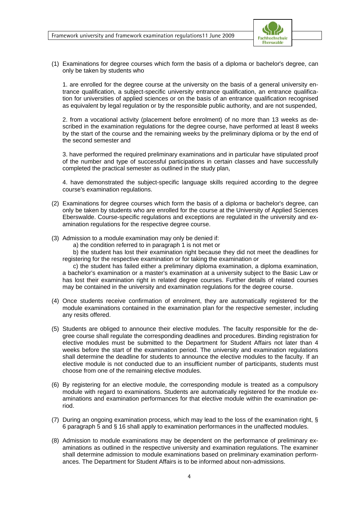

(1) Examinations for degree courses which form the basis of a diploma or bachelor's degree, can only be taken by students who

1. are enrolled for the degree course at the university on the basis of a general university entrance qualification, a subject-specific university entrance qualification, an entrance qualification for universities of applied sciences or on the basis of an entrance qualification recognised as equivalent by legal regulation or by the responsible public authority, and are not suspended,

2. from a vocational activity (placement before enrolment) of no more than 13 weeks as described in the examination regulations for the degree course, have performed at least 8 weeks by the start of the course and the remaining weeks by the preliminary diploma or by the end of the second semester and

3. have performed the required preliminary examinations and in particular have stipulated proof of the number and type of successful participations in certain classes and have successfully completed the practical semester as outlined in the study plan,

4. have demonstrated the subject-specific language skills required according to the degree course's examination regulations.

- (2) Examinations for degree courses which form the basis of a diploma or bachelor's degree, can only be taken by students who are enrolled for the course at the University of Applied Sciences Eberswalde. Course-specific regulations and exceptions are regulated in the university and examination regulations for the respective degree course.
- (3) Admission to a module examination may only be denied if:
	- a) the condition referred to in paragraph 1 is not met or

 b) the student has lost their examination right because they did not meet the deadlines for registering for the respective examination or for taking the examination or

 c) the student has failed either a preliminary diploma examination, a diploma examination, a bachelor's examination or a master's examination at a university subject to the Basic Law or has lost their examination right in related degree courses. Further details of related courses may be contained in the university and examination regulations for the degree course.

- (4) Once students receive confirmation of enrolment, they are automatically registered for the module examinations contained in the examination plan for the respective semester, including any resits offered.
- (5) Students are obliged to announce their elective modules. The faculty responsible for the degree course shall regulate the corresponding deadlines and procedures. Binding registration for elective modules must be submitted to the Department for Student Affairs not later than 4 weeks before the start of the examination period. The university and examination regulations shall determine the deadline for students to announce the elective modules to the faculty. If an elective module is not conducted due to an insufficient number of participants, students must choose from one of the remaining elective modules.
- (6) By registering for an elective module, the corresponding module is treated as a compulsory module with regard to examinations. Students are automatically registered for the module examinations and examination performances for that elective module within the examination period.
- (7) During an ongoing examination process, which may lead to the loss of the examination right, § 6 paragraph 5 and § 16 shall apply to examination performances in the unaffected modules.
- (8) Admission to module examinations may be dependent on the performance of preliminary examinations as outlined in the respective university and examination regulations. The examiner shall determine admission to module examinations based on preliminary examination performances. The Department for Student Affairs is to be informed about non-admissions.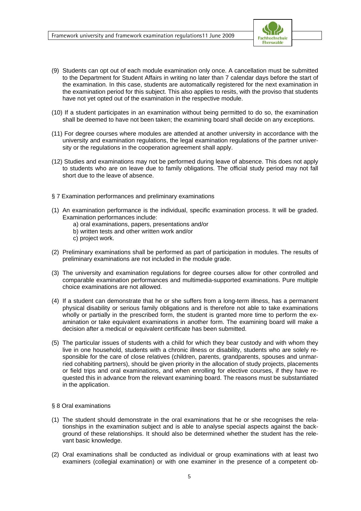

- (9) Students can opt out of each module examination only once. A cancellation must be submitted to the Department for Student Affairs in writing no later than 7 calendar days before the start of the examination. In this case, students are automatically registered for the next examination in the examination period for this subject. This also applies to resits, with the proviso that students have not yet opted out of the examination in the respective module.
- (10) If a student participates in an examination without being permitted to do so, the examination shall be deemed to have not been taken; the examining board shall decide on any exceptions.
- (11) For degree courses where modules are attended at another university in accordance with the university and examination regulations, the legal examination regulations of the partner university or the regulations in the cooperation agreement shall apply.
- (12) Studies and examinations may not be performed during leave of absence. This does not apply to students who are on leave due to family obligations. The official study period may not fall short due to the leave of absence.
- § 7 Examination performances and preliminary examinations
- (1) An examination performance is the individual, specific examination process. It will be graded. Examination performances include:
	- a) oral examinations, papers, presentations and/or
	- b) written tests and other written work and/or
	- c) project work.
- (2) Preliminary examinations shall be performed as part of participation in modules. The results of preliminary examinations are not included in the module grade.
- (3) The university and examination regulations for degree courses allow for other controlled and comparable examination performances and multimedia-supported examinations. Pure multiple choice examinations are not allowed.
- (4) If a student can demonstrate that he or she suffers from a long-term illness, has a permanent physical disability or serious family obligations and is therefore not able to take examinations wholly or partially in the prescribed form, the student is granted more time to perform the examination or take equivalent examinations in another form. The examining board will make a decision after a medical or equivalent certificate has been submitted.
- (5) The particular issues of students with a child for which they bear custody and with whom they live in one household, students with a chronic illness or disability, students who are solely responsible for the care of close relatives (children, parents, grandparents, spouses and unmarried cohabiting partners), should be given priority in the allocation of study projects, placements or field trips and oral examinations, and when enrolling for elective courses, if they have requested this in advance from the relevant examining board. The reasons must be substantiated in the application.

#### § 8 Oral examinations

- (1) The student should demonstrate in the oral examinations that he or she recognises the relationships in the examination subject and is able to analyse special aspects against the background of these relationships. It should also be determined whether the student has the relevant basic knowledge.
- (2) Oral examinations shall be conducted as individual or group examinations with at least two examiners (collegial examination) or with one examiner in the presence of a competent ob-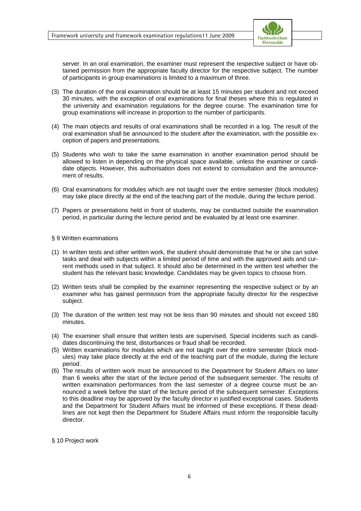

server. In an oral examination, the examiner must represent the respective subject or have obtained permission from the appropriate faculty director for the respective subject. The number of participants in group examinations is limited to a maximum of three.

- (3) The duration of the oral examination should be at least 15 minutes per student and not exceed 30 minutes, with the exception of oral examinations for final theses where this is regulated in the university and examination regulations for the degree course. The examination time for group examinations will increase in proportion to the number of participants.
- (4) The main objects and results of oral examinations shall be recorded in a log. The result of the oral examination shall be announced to the student after the examination, with the possible exception of papers and presentations.
- (5) Students who wish to take the same examination in another examination period should be allowed to listen in depending on the physical space available, unless the examiner or candidate objects. However, this authorisation does not extend to consultation and the announcement of results.
- (6) Oral examinations for modules which are not taught over the entire semester (block modules) may take place directly at the end of the teaching part of the module, during the lecture period.
- (7) Papers or presentations held in front of students, may be conducted outside the examination period, in particular during the lecture period and be evaluated by at least one examiner.

#### § 9 Written examinations

- (1) In written tests and other written work, the student should demonstrate that he or she can solve tasks and deal with subjects within a limited period of time and with the approved aids and current methods used in that subject. It should also be determined in the written test whether the student has the relevant basic knowledge. Candidates may be given topics to choose from.
- (2) Written tests shall be compiled by the examiner representing the respective subject or by an examiner who has gained permission from the appropriate faculty director for the respective subject.
- (3) The duration of the written test may not be less than 90 minutes and should not exceed 180 minutes.
- (4) The examiner shall ensure that written tests are supervised. Special incidents such as candidates discontinuing the test, disturbances or fraud shall be recorded.
- (5) Written examinations for modules which are not taught over the entire semester (block modules) may take place directly at the end of the teaching part of the module, during the lecture period.
- (6) The results of written work must be announced to the Department for Student Affairs no later than 6 weeks after the start of the lecture period of the subsequent semester. The results of written examination performances from the last semester of a degree course must be announced a week before the start of the lecture period of the subsequent semester. Exceptions to this deadline may be approved by the faculty director in justified exceptional cases. Students and the Department for Student Affairs must be informed of these exceptions. If these deadlines are not kept then the Department for Student Affairs must inform the responsible faculty director.

#### § 10 Project work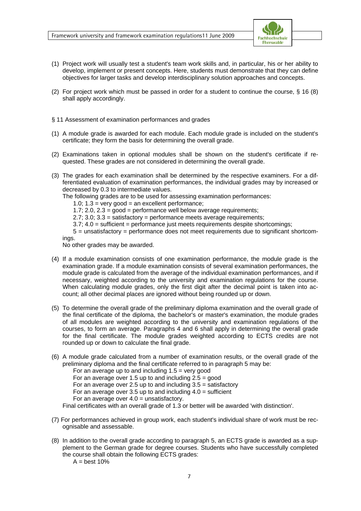

- (1) Project work will usually test a student's team work skills and, in particular, his or her ability to develop, implement or present concepts. Here, students must demonstrate that they can define objectives for larger tasks and develop interdisciplinary solution approaches and concepts.
- (2) For project work which must be passed in order for a student to continue the course, § 16 (8) shall apply accordingly.
- § 11 Assessment of examination performances and grades
- (1) A module grade is awarded for each module. Each module grade is included on the student's certificate; they form the basis for determining the overall grade.
- (2) Examinations taken in optional modules shall be shown on the student's certificate if requested. These grades are not considered in determining the overall grade.
- (3) The grades for each examination shall be determined by the respective examiners. For a differentiated evaluation of examination performances, the individual grades may by increased or decreased by 0.3 to intermediate values.

The following grades are to be used for assessing examination performances:

1.0:  $1.3 =$  very good = an excellent performance:

1.7; 2.0,  $2.3 = \text{good} = \text{performance}$  well below average requirements;

2.7; 3.0; 3.3 = satisfactory = performance meets average requirements;

3.7; 4.0 = sufficient = performance just meets requirements despite shortcomings;

 $5 =$  unsatisfactory = performance does not meet requirements due to significant shortcomings.

No other grades may be awarded.

- (4) If a module examination consists of one examination performance, the module grade is the examination grade. If a module examination consists of several examination performances, the module grade is calculated from the average of the individual examination performances, and if necessary, weighted according to the university and examination regulations for the course. When calculating module grades, only the first digit after the decimal point is taken into account; all other decimal places are ignored without being rounded up or down.
- (5) To determine the overall grade of the preliminary diploma examination and the overall grade of the final certificate of the diploma, the bachelor's or master's examination, the module grades of all modules are weighted according to the university and examination regulations of the courses, to form an average. Paragraphs 4 and 6 shall apply in determining the overall grade for the final certificate. The module grades weighted according to ECTS credits are not rounded up or down to calculate the final grade.
- (6) A module grade calculated from a number of examination results, or the overall grade of the preliminary diploma and the final certificate referred to in paragraph 5 may be:

For an average up to and including  $1.5$  = very good

For an average over 1.5 up to and including  $2.5 = \text{good}$ 

For an average over 2.5 up to and including  $3.5 =$  satisfactory

For an average over 3.5 up to and including  $4.0 =$  sufficient

For an average over  $4.0 =$  unsatisfactory.

Final certificates with an overall grade of 1.3 or better will be awarded 'with distinction'.

- (7) For performances achieved in group work, each student's individual share of work must be recognisable and assessable.
- (8) In addition to the overall grade according to paragraph 5, an ECTS grade is awarded as a supplement to the German grade for degree courses. Students who have successfully completed the course shall obtain the following ECTS grades:

 $A = best 10%$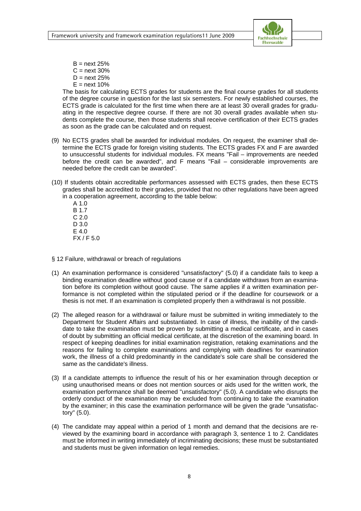

 $B =$  next 25%  $C =$  next 30%  $D =$  next 25%  $E =$  next 10%

 The basis for calculating ECTS grades for students are the final course grades for all students of the degree course in question for the last six semesters. For newly established courses, the ECTS grade is calculated for the first time when there are at least 30 overall grades for graduating in the respective degree course. If there are not 30 overall grades available when students complete the course, then those students shall receive certification of their ECTS grades as soon as the grade can be calculated and on request.

- (9) No ECTS grades shall be awarded for individual modules. On request, the examiner shall determine the ECTS grade for foreign visiting students. The ECTS grades FX and F are awarded to unsuccessful students for individual modules. FX means "Fail – improvements are needed before the credit can be awarded", and F means "Fail – considerable improvements are needed before the credit can be awarded".
- (10) If students obtain accreditable performances assessed with ECTS grades, then these ECTS grades shall be accredited to their grades, provided that no other regulations have been agreed in a cooperation agreement, according to the table below:
	- A 1.0 B 1.7 C 2.0 D 3.0 E 4.0 FX / F 5.0

§ 12 Failure, withdrawal or breach of regulations

- (1) An examination performance is considered "unsatisfactory" (5.0) if a candidate fails to keep a binding examination deadline without good cause or if a candidate withdraws from an examination before its completion without good cause. The same applies if a written examination performance is not completed within the stipulated period or if the deadline for coursework or a thesis is not met. If an examination is completed properly then a withdrawal is not possible.
- (2) The alleged reason for a withdrawal or failure must be submitted in writing immediately to the Department for Student Affairs and substantiated. In case of illness, the inability of the candidate to take the examination must be proven by submitting a medical certificate, and in cases of doubt by submitting an official medical certificate, at the discretion of the examining board. In respect of keeping deadlines for initial examination registration, retaking examinations and the reasons for failing to complete examinations and complying with deadlines for examination work, the illness of a child predominantly in the candidate's sole care shall be considered the same as the candidate's illness.
- (3) If a candidate attempts to influence the result of his or her examination through deception or using unauthorised means or does not mention sources or aids used for the written work, the examination performance shall be deemed "unsatisfactory" (5.0). A candidate who disrupts the orderly conduct of the examination may be excluded from continuing to take the examination by the examiner; in this case the examination performance will be given the grade "unsatisfactory" (5.0).
- (4) The candidate may appeal within a period of 1 month and demand that the decisions are reviewed by the examining board in accordance with paragraph 3, sentence 1 to 2. Candidates must be informed in writing immediately of incriminating decisions; these must be substantiated and students must be given information on legal remedies.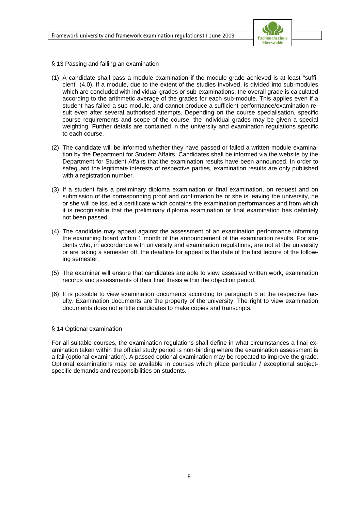

- § 13 Passing and failing an examination
- (1) A candidate shall pass a module examination if the module grade achieved is at least "sufficient" (4.0). If a module, due to the extent of the studies involved, is divided into sub-modules which are concluded with individual grades or sub-examinations, the overall grade is calculated according to the arithmetic average of the grades for each sub-module. This applies even if a student has failed a sub-module, and cannot produce a sufficient performance/examination result even after several authorised attempts. Depending on the course specialisation, specific course requirements and scope of the course, the individual grades may be given a special weighting. Further details are contained in the university and examination regulations specific to each course.
- (2) The candidate will be informed whether they have passed or failed a written module examination by the Department for Student Affairs. Candidates shall be informed via the website by the Department for Student Affairs that the examination results have been announced. In order to safeguard the legitimate interests of respective parties, examination results are only published with a registration number.
- (3) If a student fails a preliminary diploma examination or final examination, on request and on submission of the corresponding proof and confirmation he or she is leaving the university, he or she will be issued a certificate which contains the examination performances and from which it is recognisable that the preliminary diploma examination or final examination has definitely not been passed.
- (4) The candidate may appeal against the assessment of an examination performance informing the examining board within 1 month of the announcement of the examination results. For students who, in accordance with university and examination regulations, are not at the university or are taking a semester off, the deadline for appeal is the date of the first lecture of the following semester.
- (5) The examiner will ensure that candidates are able to view assessed written work, examination records and assessments of their final thesis within the objection period.
- (6) It is possible to view examination documents according to paragraph 5 at the respective faculty. Examination documents are the property of the university. The right to view examination documents does not entitle candidates to make copies and transcripts.

#### § 14 Optional examination

For all suitable courses, the examination regulations shall define in what circumstances a final examination taken within the official study period is non-binding where the examination assessment is a fail (optional examination). A passed optional examination may be repeated to improve the grade. Optional examinations may be available in courses which place particular / exceptional subjectspecific demands and responsibilities on students.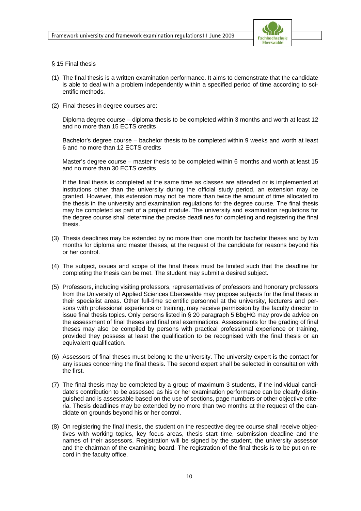

#### § 15 Final thesis

- (1) The final thesis is a written examination performance. It aims to demonstrate that the candidate is able to deal with a problem independently within a specified period of time according to scientific methods.
- (2) Final theses in degree courses are:

 Diploma degree course – diploma thesis to be completed within 3 months and worth at least 12 and no more than 15 ECTS credits

 Bachelor's degree course – bachelor thesis to be completed within 9 weeks and worth at least 6 and no more than 12 ECTS credits

 Master's degree course – master thesis to be completed within 6 months and worth at least 15 and no more than 30 ECTS credits

 If the final thesis is completed at the same time as classes are attended or is implemented at institutions other than the university during the official study period, an extension may be granted. However, this extension may not be more than twice the amount of time allocated to the thesis in the university and examination regulations for the degree course. The final thesis may be completed as part of a project module. The university and examination regulations for the degree course shall determine the precise deadlines for completing and registering the final thesis.

- (3) Thesis deadlines may be extended by no more than one month for bachelor theses and by two months for diploma and master theses, at the request of the candidate for reasons beyond his or her control.
- (4) The subject, issues and scope of the final thesis must be limited such that the deadline for completing the thesis can be met. The student may submit a desired subject.
- (5) Professors, including visiting professors, representatives of professors and honorary professors from the University of Applied Sciences Eberswalde may propose subjects for the final thesis in their specialist areas. Other full-time scientific personnel at the university, lecturers and persons with professional experience or training, may receive permission by the faculty director to issue final thesis topics. Only persons listed in § 20 paragraph 5 BbgHG may provide advice on the assessment of final theses and final oral examinations. Assessments for the grading of final theses may also be compiled by persons with practical professional experience or training, provided they possess at least the qualification to be recognised with the final thesis or an equivalent qualification.
- (6) Assessors of final theses must belong to the university. The university expert is the contact for any issues concerning the final thesis. The second expert shall be selected in consultation with the first.
- (7) The final thesis may be completed by a group of maximum 3 students, if the individual candidate's contribution to be assessed as his or her examination performance can be clearly distinguished and is assessable based on the use of sections, page numbers or other objective criteria. Thesis deadlines may be extended by no more than two months at the request of the candidate on grounds beyond his or her control.
- (8) On registering the final thesis, the student on the respective degree course shall receive objectives with working topics, key focus areas, thesis start time, submission deadline and the names of their assessors. Registration will be signed by the student, the university assessor and the chairman of the examining board. The registration of the final thesis is to be put on record in the faculty office.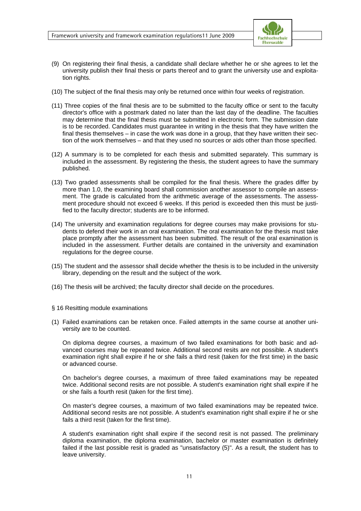

- (9) On registering their final thesis, a candidate shall declare whether he or she agrees to let the university publish their final thesis or parts thereof and to grant the university use and exploitation rights.
- (10) The subject of the final thesis may only be returned once within four weeks of registration.
- (11) Three copies of the final thesis are to be submitted to the faculty office or sent to the faculty director's office with a postmark dated no later than the last day of the deadline. The faculties may determine that the final thesis must be submitted in electronic form. The submission date is to be recorded. Candidates must guarantee in writing in the thesis that they have written the final thesis themselves – in case the work was done in a group, that they have written their section of the work themselves – and that they used no sources or aids other than those specified.
- (12) A summary is to be completed for each thesis and submitted separately. This summary is included in the assessment. By registering the thesis, the student agrees to have the summary published.
- (13) Two graded assessments shall be compiled for the final thesis. Where the grades differ by more than 1.0, the examining board shall commission another assessor to compile an assessment. The grade is calculated from the arithmetic average of the assessments. The assessment procedure should not exceed 6 weeks. If this period is exceeded then this must be justified to the faculty director; students are to be informed.
- (14) The university and examination regulations for degree courses may make provisions for students to defend their work in an oral examination. The oral examination for the thesis must take place promptly after the assessment has been submitted. The result of the oral examination is included in the assessment. Further details are contained in the university and examination regulations for the degree course.
- (15) The student and the assessor shall decide whether the thesis is to be included in the university library, depending on the result and the subject of the work.
- (16) The thesis will be archived; the faculty director shall decide on the procedures.
- § 16 Resitting module examinations
- (1) Failed examinations can be retaken once. Failed attempts in the same course at another university are to be counted.

 On diploma degree courses, a maximum of two failed examinations for both basic and advanced courses may be repeated twice. Additional second resits are not possible. A student's examination right shall expire if he or she fails a third resit (taken for the first time) in the basic or advanced course.

 On bachelor's degree courses, a maximum of three failed examinations may be repeated twice. Additional second resits are not possible. A student's examination right shall expire if he or she fails a fourth resit (taken for the first time).

 On master's degree courses, a maximum of two failed examinations may be repeated twice. Additional second resits are not possible. A student's examination right shall expire if he or she fails a third resit (taken for the first time).

 A student's examination right shall expire if the second resit is not passed. The preliminary diploma examination, the diploma examination, bachelor or master examination is definitely failed if the last possible resit is graded as "unsatisfactory (5)". As a result, the student has to leave university.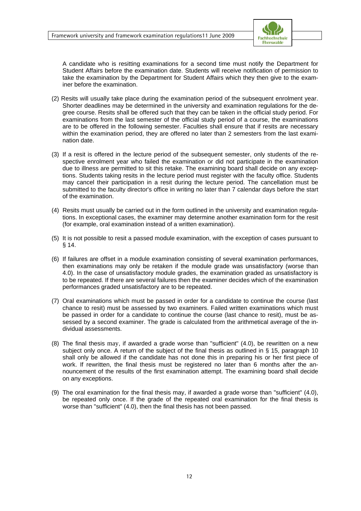

 A candidate who is resitting examinations for a second time must notify the Department for Student Affairs before the examination date. Students will receive notification of permission to take the examination by the Department for Student Affairs which they then give to the examiner before the examination.

- (2) Resits will usually take place during the examination period of the subsequent enrolment year. Shorter deadlines may be determined in the university and examination regulations for the degree course. Resits shall be offered such that they can be taken in the official study period. For examinations from the last semester of the official study period of a course, the examinations are to be offered in the following semester. Faculties shall ensure that if resits are necessary within the examination period, they are offered no later than 2 semesters from the last examination date.
- (3) If a resit is offered in the lecture period of the subsequent semester, only students of the respective enrolment year who failed the examination or did not participate in the examination due to illness are permitted to sit this retake. The examining board shall decide on any exceptions. Students taking resits in the lecture period must register with the faculty office. Students may cancel their participation in a resit during the lecture period. The cancellation must be submitted to the faculty director's office in writing no later than 7 calendar days before the start of the examination.
- (4) Resits must usually be carried out in the form outlined in the university and examination regulations. In exceptional cases, the examiner may determine another examination form for the resit (for example, oral examination instead of a written examination).
- (5) It is not possible to resit a passed module examination, with the exception of cases pursuant to  $§ 14.$
- (6) If failures are offset in a module examination consisting of several examination performances, then examinations may only be retaken if the module grade was unsatisfactory (worse than 4.0). In the case of unsatisfactory module grades, the examination graded as unsatisfactory is to be repeated. If there are several failures then the examiner decides which of the examination performances graded unsatisfactory are to be repeated.
- (7) Oral examinations which must be passed in order for a candidate to continue the course (last chance to resit) must be assessed by two examiners. Failed written examinations which must be passed in order for a candidate to continue the course (last chance to resit), must be assessed by a second examiner. The grade is calculated from the arithmetical average of the individual assessments.
- (8) The final thesis may, if awarded a grade worse than "sufficient" (4.0), be rewritten on a new subject only once. A return of the subject of the final thesis as outlined in § 15, paragraph 10 shall only be allowed if the candidate has not done this in preparing his or her first piece of work. If rewritten, the final thesis must be registered no later than 6 months after the announcement of the results of the first examination attempt. The examining board shall decide on any exceptions.
- (9) The oral examination for the final thesis may, if awarded a grade worse than "sufficient" (4.0), be repeated only once. If the grade of the repeated oral examination for the final thesis is worse than "sufficient" (4.0), then the final thesis has not been passed.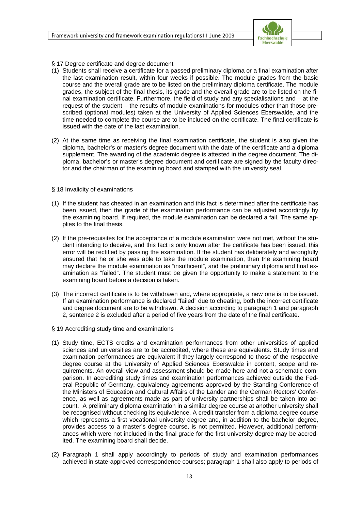

- § 17 Degree certificate and degree document
- (1) Students shall receive a certificate for a passed preliminary diploma or a final examination after the last examination result, within four weeks if possible. The module grades from the basic course and the overall grade are to be listed on the preliminary diploma certificate. The module grades, the subject of the final thesis, its grade and the overall grade are to be listed on the final examination certificate. Furthermore, the field of study and any specialisations and – at the request of the student – the results of module examinations for modules other than those prescribed (optional modules) taken at the University of Applied Sciences Eberswalde, and the time needed to complete the course are to be included on the certificate. The final certificate is issued with the date of the last examination.
- (2) At the same time as receiving the final examination certificate, the student is also given the diploma, bachelor's or master's degree document with the date of the certificate and a diploma supplement. The awarding of the academic degree is attested in the degree document. The diploma, bachelor's or master's degree document and certificate are signed by the faculty director and the chairman of the examining board and stamped with the university seal.

#### § 18 Invalidity of examinations

- (1) If the student has cheated in an examination and this fact is determined after the certificate has been issued, then the grade of the examination performance can be adjusted accordingly by the examining board. If required, the module examination can be declared a fail. The same applies to the final thesis.
- (2) If the pre-requisites for the acceptance of a module examination were not met, without the student intending to deceive, and this fact is only known after the certificate has been issued, this error will be rectified by passing the examination. If the student has deliberately and wrongfully ensured that he or she was able to take the module examination, then the examining board may declare the module examination as "insufficient", and the preliminary diploma and final examination as "failed". The student must be given the opportunity to make a statement to the examining board before a decision is taken.
- (3) The incorrect certificate is to be withdrawn and, where appropriate, a new one is to be issued. If an examination performance is declared "failed" due to cheating, both the incorrect certificate and degree document are to be withdrawn. A decision according to paragraph 1 and paragraph 2, sentence 2 is excluded after a period of five years from the date of the final certificate.
- § 19 Accrediting study time and examinations
- (1) Study time, ECTS credits and examination performances from other universities of applied sciences and universities are to be accredited, where these are equivalents. Study times and examination performances are equivalent if they largely correspond to those of the respective degree course at the University of Applied Sciences Eberswalde in content, scope and requirements. An overall view and assessment should be made here and not a schematic comparison. In accrediting study times and examination performances achieved outside the Federal Republic of Germany, equivalency agreements approved by the Standing Conference of the Ministers of Education and Cultural Affairs of the Länder and the German Rectors' Conference, as well as agreements made as part of university partnerships shall be taken into account. A preliminary diploma examination in a similar degree course at another university shall be recognised without checking its equivalence. A credit transfer from a diploma degree course which represents a first vocational university degree and, in addition to the bachelor degree, provides access to a master's degree course, is not permitted. However, additional performances which were not included in the final grade for the first university degree may be accredited. The examining board shall decide.
- (2) Paragraph 1 shall apply accordingly to periods of study and examination performances achieved in state-approved correspondence courses; paragraph 1 shall also apply to periods of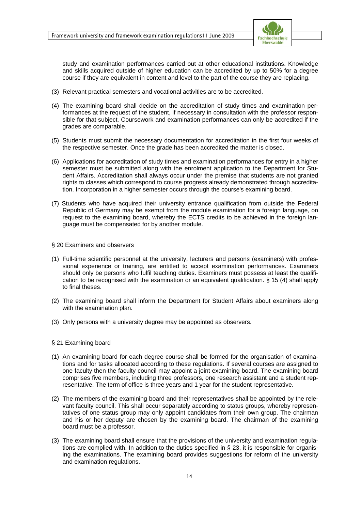

study and examination performances carried out at other educational institutions. Knowledge and skills acquired outside of higher education can be accredited by up to 50% for a degree course if they are equivalent in content and level to the part of the course they are replacing.

- (3) Relevant practical semesters and vocational activities are to be accredited.
- (4) The examining board shall decide on the accreditation of study times and examination performances at the request of the student, if necessary in consultation with the professor responsible for that subject. Coursework and examination performances can only be accredited if the grades are comparable.
- (5) Students must submit the necessary documentation for accreditation in the first four weeks of the respective semester. Once the grade has been accredited the matter is closed.
- (6) Applications for accreditation of study times and examination performances for entry in a higher semester must be submitted along with the enrolment application to the Department for Student Affairs. Accreditation shall always occur under the premise that students are not granted rights to classes which correspond to course progress already demonstrated through accreditation. Incorporation in a higher semester occurs through the course's examining board.
- (7) Students who have acquired their university entrance qualification from outside the Federal Republic of Germany may be exempt from the module examination for a foreign language, on request to the examining board, whereby the ECTS credits to be achieved in the foreign language must be compensated for by another module.

#### § 20 Examiners and observers

- (1) Full-time scientific personnel at the university, lecturers and persons (examiners) with professional experience or training, are entitled to accept examination performances. Examiners should only be persons who fulfil teaching duties. Examiners must possess at least the qualification to be recognised with the examination or an equivalent qualification. § 15 (4) shall apply to final theses.
- (2) The examining board shall inform the Department for Student Affairs about examiners along with the examination plan.
- (3) Only persons with a university degree may be appointed as observers.

#### § 21 Examining board

- (1) An examining board for each degree course shall be formed for the organisation of examinations and for tasks allocated according to these regulations. If several courses are assigned to one faculty then the faculty council may appoint a joint examining board. The examining board comprises five members, including three professors, one research assistant and a student representative. The term of office is three years and 1 year for the student representative.
- (2) The members of the examining board and their representatives shall be appointed by the relevant faculty council. This shall occur separately according to status groups, whereby representatives of one status group may only appoint candidates from their own group. The chairman and his or her deputy are chosen by the examining board. The chairman of the examining board must be a professor.
- (3) The examining board shall ensure that the provisions of the university and examination regulations are complied with. In addition to the duties specified in  $\S$  23, it is responsible for organising the examinations. The examining board provides suggestions for reform of the university and examination regulations.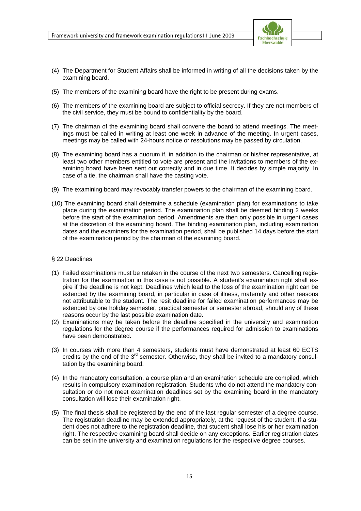

- (4) The Department for Student Affairs shall be informed in writing of all the decisions taken by the examining board.
- (5) The members of the examining board have the right to be present during exams.
- (6) The members of the examining board are subject to official secrecy. If they are not members of the civil service, they must be bound to confidentiality by the board.
- (7) The chairman of the examining board shall convene the board to attend meetings. The meetings must be called in writing at least one week in advance of the meeting. In urgent cases, meetings may be called with 24-hours notice or resolutions may be passed by circulation.
- (8) The examining board has a quorum if, in addition to the chairman or his/her representative, at least two other members entitled to vote are present and the invitations to members of the examining board have been sent out correctly and in due time. It decides by simple majority. In case of a tie, the chairman shall have the casting vote.
- (9) The examining board may revocably transfer powers to the chairman of the examining board.
- (10) The examining board shall determine a schedule (examination plan) for examinations to take place during the examination period. The examination plan shall be deemed binding 2 weeks before the start of the examination period. Amendments are then only possible in urgent cases at the discretion of the examining board. The binding examination plan, including examination dates and the examiners for the examination period, shall be published 14 days before the start of the examination period by the chairman of the examining board.

#### § 22 Deadlines

- (1) Failed examinations must be retaken in the course of the next two semesters. Cancelling registration for the examination in this case is not possible. A student's examination right shall expire if the deadline is not kept. Deadlines which lead to the loss of the examination right can be extended by the examining board, in particular in case of illness, maternity and other reasons not attributable to the student. The resit deadline for failed examination performances may be extended by one holiday semester, practical semester or semester abroad, should any of these reasons occur by the last possible examination date.
- (2) Examinations may be taken before the deadline specified in the university and examination regulations for the degree course if the performances required for admission to examinations have been demonstrated.
- (3) In courses with more than 4 semesters, students must have demonstrated at least 60 ECTS credits by the end of the  $3<sup>rd</sup>$  semester. Otherwise, they shall be invited to a mandatory consultation by the examining board.
- (4) In the mandatory consultation, a course plan and an examination schedule are compiled, which results in compulsory examination registration. Students who do not attend the mandatory consultation or do not meet examination deadlines set by the examining board in the mandatory consultation will lose their examination right.
- (5) The final thesis shall be registered by the end of the last regular semester of a degree course. The registration deadline may be extended appropriately, at the request of the student. If a student does not adhere to the registration deadline, that student shall lose his or her examination right. The respective examining board shall decide on any exceptions. Earlier registration dates can be set in the university and examination regulations for the respective degree courses.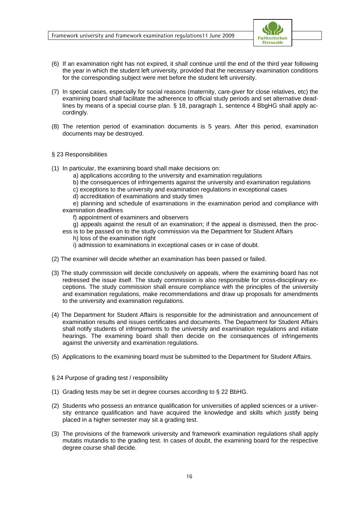

- (6) If an examination right has not expired, it shall continue until the end of the third year following the year in which the student left university, provided that the necessary examination conditions for the corresponding subject were met before the student left university.
- (7) In special cases, especially for social reasons (maternity, care-giver for close relatives, etc) the examining board shall facilitate the adherence to official study periods and set alternative deadlines by means of a special course plan. § 18, paragraph 1, sentence 4 BbgHG shall apply accordingly.
- (8) The retention period of examination documents is 5 years. After this period, examination documents may be destroyed.

#### § 23 Responsibilities

- (1) In particular, the examining board shall make decisions on:
	- a) applications according to the university and examination regulations
	- b) the consequences of infringements against the university and examination regulations
	- c) exceptions to the university and examination regulations in exceptional cases
	- d) accreditation of examinations and study times

 e) planning and schedule of examinations in the examination period and compliance with examination deadlines

f) appointment of examiners and observers

g) appeals against the result of an examination; if the appeal is dismissed, then the proc-

- ess is to be passed on to the study commission via the Department for Student Affairs h) loss of the examination right
	- i) admission to examinations in exceptional cases or in case of doubt.
- (2) The examiner will decide whether an examination has been passed or failed.
- (3) The study commission will decide conclusively on appeals, where the examining board has not redressed the issue itself. The study commission is also responsible for cross-disciplinary exceptions. The study commission shall ensure compliance with the principles of the university and examination regulations, make recommendations and draw up proposals for amendments to the university and examination regulations.
- (4) The Department for Student Affairs is responsible for the administration and announcement of examination results and issues certificates and documents. The Department for Student Affairs shall notify students of infringements to the university and examination regulations and initiate hearings. The examining board shall then decide on the consequences of infringements against the university and examination regulations.
- (5) Applications to the examining board must be submitted to the Department for Student Affairs.
- § 24 Purpose of grading test / responsibility
- (1) Grading tests may be set in degree courses according to § 22 BbHG.
- (2) Students who possess an entrance qualification for universities of applied sciences or a university entrance qualification and have acquired the knowledge and skills which justify being placed in a higher semester may sit a grading test.
- (3) The provisions of the framework university and framework examination regulations shall apply mutatis mutandis to the grading test. In cases of doubt, the examining board for the respective degree course shall decide.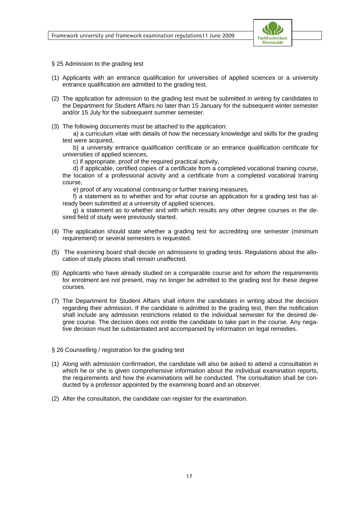

- § 25 Admission to the grading test
- (1) Applicants with an entrance qualification for universities of applied sciences or a university entrance qualification are admitted to the grading test.
- (2) The application for admission to the grading test must be submitted in writing by candidates to the Department for Student Affairs no later than 15 January for the subsequent winter semester and/or 15 July for the subsequent summer semester.
- (3) The following documents must be attached to the application:

 a) a curriculum vitae with details of how the necessary knowledge and skills for the grading test were acquired,

 b) a university entrance qualification certificate or an entrance qualification certificate for universities of applied sciences,

c) if appropriate, proof of the required practical activity,

 d) if applicable, certified copies of a certificate from a completed vocational training course, the location of a professional activity and a certificate from a completed vocational training course,

e) proof of any vocational continuing or further training measures,

 f) a statement as to whether and for what course an application for a grading test has already been submitted at a university of applied sciences,

 g) a statement as to whether and with which results any other degree courses in the desired field of study were previously started.

- (4) The application should state whether a grading test for accrediting one semester (minimum requirement) or several semesters is requested.
- (5) The examining board shall decide on admissions to grading tests. Regulations about the allocation of study places shall remain unaffected.
- (6) Applicants who have already studied on a comparable course and for whom the requirements for enrolment are not present, may no longer be admitted to the grading test for these degree courses.
- (7) The Department for Student Affairs shall inform the candidates in writing about the decision regarding their admission. If the candidate is admitted to the grading test, then the notification shall include any admission restrictions related to the individual semester for the desired degree course. The decision does not entitle the candidate to take part in the course. Any negative decision must be substantiated and accompanied by information on legal remedies.

#### § 26 Counselling / registration for the grading test

- (1) Along with admission confirmation, the candidate will also be asked to attend a consultation in which he or she is given comprehensive information about the individual examination reports, the requirements and how the examinations will be conducted. The consultation shall be conducted by a professor appointed by the examining board and an observer.
- (2) After the consultation, the candidate can register for the examination.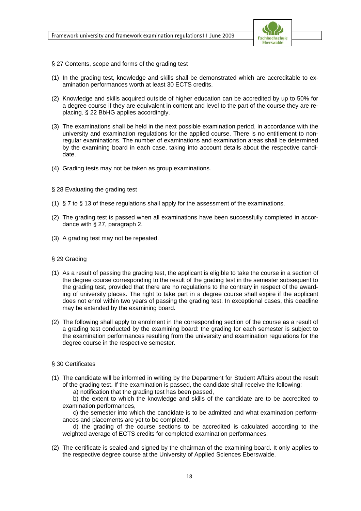

- § 27 Contents, scope and forms of the grading test
- (1) In the grading test, knowledge and skills shall be demonstrated which are accreditable to examination performances worth at least 30 ECTS credits.
- (2) Knowledge and skills acquired outside of higher education can be accredited by up to 50% for a degree course if they are equivalent in content and level to the part of the course they are replacing. § 22 BbHG applies accordingly.
- (3) The examinations shall be held in the next possible examination period, in accordance with the university and examination regulations for the applied course. There is no entitlement to nonregular examinations. The number of examinations and examination areas shall be determined by the examining board in each case, taking into account details about the respective candidate.
- (4) Grading tests may not be taken as group examinations.

#### § 28 Evaluating the grading test

- (1) § 7 to § 13 of these regulations shall apply for the assessment of the examinations.
- (2) The grading test is passed when all examinations have been successfully completed in accordance with § 27, paragraph 2.
- (3) A grading test may not be repeated.

#### § 29 Grading

- (1) As a result of passing the grading test, the applicant is eligible to take the course in a section of the degree course corresponding to the result of the grading test in the semester subsequent to the grading test, provided that there are no regulations to the contrary in respect of the awarding of university places. The right to take part in a degree course shall expire if the applicant does not enrol within two years of passing the grading test. In exceptional cases, this deadline may be extended by the examining board.
- (2) The following shall apply to enrolment in the corresponding section of the course as a result of a grading test conducted by the examining board: the grading for each semester is subject to the examination performances resulting from the university and examination regulations for the degree course in the respective semester.

#### § 30 Certificates

(1) The candidate will be informed in writing by the Department for Student Affairs about the result of the grading test. If the examination is passed, the candidate shall receive the following:

a) notification that the grading test has been passed,

 b) the extent to which the knowledge and skills of the candidate are to be accredited to examination performances,

 c) the semester into which the candidate is to be admitted and what examination performances and placements are yet to be completed,

 d) the grading of the course sections to be accredited is calculated according to the weighted average of ECTS credits for completed examination performances.

(2) The certificate is sealed and signed by the chairman of the examining board. It only applies to the respective degree course at the University of Applied Sciences Eberswalde.